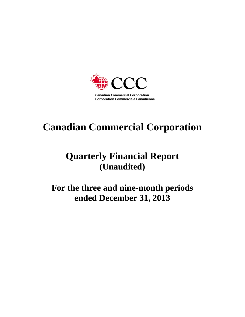

# **Canadian Commercial Corporation**

# **Quarterly Financial Report (Unaudited)**

**For the three and nine-month periods ended December 31, 2013**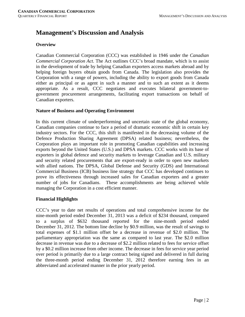# **Management's Discussion and Analysis**

# **Overview**

Canadian Commercial Corporation (CCC) was established in 1946 under the *Canadian Commercial Corporation Act*. The Act outlines CCC's broad mandate, which is to assist in the development of trade by helping Canadian exporters access markets abroad and by helping foreign buyers obtain goods from Canada. The legislation also provides the Corporation with a range of powers, including the ability to export goods from Canada either as principal or as agent in such a manner and to such an extent as it deems appropriate. As a result, CCC negotiates and executes bilateral government-togovernment procurement arrangements, facilitating export transactions on behalf of Canadian exporters.

# **Nature of Business and Operating Environment**

In this current climate of underperforming and uncertain state of the global economy, Canadian companies continue to face a period of dramatic economic shift in certain key industry sectors. For the CCC, this shift is manifested in the decreasing volume of the Defence Production Sharing Agreement (DPSA) related business; nevertheless, the Corporation plays an important role in promoting Canadian capabilities and increasing exports beyond the United States (U.S.) and DPSA markets. CCC works with its base of exporters in global defence and security markets to leverage Canadian and U.S. military and security related procurements that are export-ready in order to open new markets with allied nations. The DPSA, Global Defense and Security (GDS) and International Commercial Business (ICB) business line strategy that CCC has developed continues to prove its effectiveness through increased sales for Canadian exporters and a greater number of jobs for Canadians. These accomplishments are being achieved while managing the Corporation in a cost efficient manner.

# **Financial Highlights**

CCC's year to date net results of operations and total comprehensive income for the nine-month period ended December 31, 2013 was a deficit of \$234 thousand, compared to a surplus of \$632 thousand reported for the nine-month period ended December 31, 2012. The bottom line decline by \$0.9 million, was the result of savings to total expenses of \$1.1 million offset be a decrease in revenue of \$2.0 million. The parliamentary appropriation was the same as compared to last year. The \$2.0 million decrease in revenue was due to a decrease of \$2.2 million related to fees for service offset by a \$0.2 million increase from other income. The decrease in fees for service year period over period is primarily due to a large contract being signed and delivered in full during the three-month period ending December 31, 2012 therefore earning fees in an abbreviated and accelerated manner in the prior yearly period.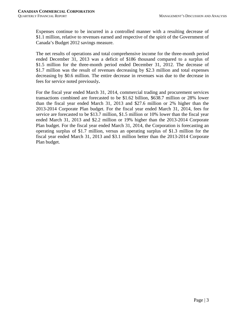Expenses continue to be incurred in a controlled manner with a resulting decrease of \$1.1 million, relative to revenues earned and respective of the spirit of the Government of Canada's Budget 2012 savings measure.

The net results of operations and total comprehensive income for the three-month period ended December 31, 2013 was a deficit of \$186 thousand compared to a surplus of \$1.5 million for the three-month period ended December 31, 2012. The decrease of \$1.7 million was the result of revenues decreasing by \$2.3 million and total expenses decreasing by \$0.6 million. The entire decrease in revenues was due to the decrease in fees for service noted previously**.**

For the fiscal year ended March 31, 2014, commercial trading and procurement services transactions combined are forecasted to be \$1.62 billion, \$638.7 million or 28% lower than the fiscal year ended March 31, 2013 and \$27.6 million or 2% higher than the 2013-2014 Corporate Plan budget. For the fiscal year ended March 31, 2014, fees for service are forecasted to be \$13.7 million, \$1.5 million or 10% lower than the fiscal year ended March 31, 2013 and \$2.2 million or 19% higher than the 2013-2014 Corporate Plan budget. For the fiscal year ended March 31, 2014, the Corporation is forecasting an operating surplus of \$1.7 million, versus an operating surplus of \$1.3 million for the fiscal year ended March 31, 2013 and \$3.1 million better than the 2013-2014 Corporate Plan budget.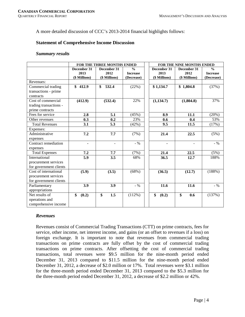A more detailed discussion of CCC's 2013-2014 financial highlights follows:

# **Statement of Comprehensive Income Discussion**

#### *Summary results*

|                        |               | FOR THE THREE MONTHS ENDED |                 | FOR THE NINE MONTHS ENDED |               |                 |  |  |
|------------------------|---------------|----------------------------|-----------------|---------------------------|---------------|-----------------|--|--|
|                        | December 31   | December 31                | $\frac{0}{0}$   | December 31               | December 31   | $\frac{0}{0}$   |  |  |
|                        | 2013          | 2012                       | <b>Increase</b> | 2013                      | 2012          | <b>Increase</b> |  |  |
|                        | (\$ Millions) | (\$ Millions)              | (Decrease)      | (\$ Millions)             | (\$ Millions) | (Decrease)      |  |  |
| Revenues:              |               |                            |                 |                           |               |                 |  |  |
| Commercial trading     | \$412.9       | \$<br>532.4                | (22%)           | \$1,134.7                 | \$1,804.8     | (37%)           |  |  |
| transactions - prime   |               |                            |                 |                           |               |                 |  |  |
| contracts              |               |                            |                 |                           |               |                 |  |  |
| Cost of commercial     | (412.9)       | (532.4)                    | 22%             | (1, 134.7)                | (1,804.8)     | 37%             |  |  |
| trading transactions - |               |                            |                 |                           |               |                 |  |  |
| prime contracts        |               |                            |                 |                           |               |                 |  |  |
| Fees for service       | 2.8           | 5.1                        | (45%)           | 8.9                       | 11.1          | (20%)           |  |  |
| Other revenues         | 0.3           | 0.2                        | 23%             | 0.6                       | 0.4           | 53%             |  |  |
| <b>Total Revenues</b>  | 3.1           | 5.3                        | (42%)           | 9.5                       | 11.5          | (17%)           |  |  |
| Expenses:              |               |                            |                 |                           |               |                 |  |  |
| Administrative         | 7.2           | 7.7                        | (7%)            | 21.4                      | 22.5          | (5%)            |  |  |
| expenses               |               |                            |                 |                           |               |                 |  |  |
| Contract remediation   | ٠             | ÷.                         | $-9/6$          | ٠                         |               | $-9/6$          |  |  |
| expenses               |               |                            |                 |                           |               |                 |  |  |
| <b>Total Expenses</b>  | 7.2           | 7.7                        | (7%)            | 21.4                      | 22.5          | (5%)            |  |  |
| International          | 5.9           | 3.5                        | 68%             | 36.5                      | 12.7          | 188%            |  |  |
| procurement services   |               |                            |                 |                           |               |                 |  |  |
| for government clients |               |                            |                 |                           |               |                 |  |  |
| Cost of international  | (5.9)         | (3.5)                      | (68%)           | (36.5)                    | (12.7)        | (188%)          |  |  |
| procurement services   |               |                            |                 |                           |               |                 |  |  |
| for government clients |               |                            |                 |                           |               |                 |  |  |
| Parliamentary          | 3.9           | 3.9                        | $-9/6$          | 11.6                      | 11.6          | $-9/6$          |  |  |
| appropriations         |               |                            |                 |                           |               |                 |  |  |
| Net results of         | \$<br>(0.2)   | \$<br>1.5                  | (112%)          | \$<br>(0.2)               | \$<br>0.6     | (137%)          |  |  |
| operations and         |               |                            |                 |                           |               |                 |  |  |
| comprehensive income   |               |                            |                 |                           |               |                 |  |  |

# *Revenues*

Revenues consist of Commercial Trading Transactions (CTT) on prime contracts, fees for service, other income, net interest income, and gains (or an offset to revenues if a loss) on foreign exchange. It is important to note that revenues from commercial trading transactions on prime contracts are fully offset by the cost of commercial trading transactions on prime contracts. After offsetting the cost of commercial trading transactions, total revenues were \$9.5 million for the nine-month period ended December 31, 2013 compared to \$11.5 million for the nine-month period ended December 31, 2012, a decrease of \$2.0 million or 17%. Total revenues were \$3.1 million for the three-month period ended December 31, 2013 compared to the \$5.3 million for the three-month period ended December 31, 2012, a decrease of \$2.2 million or 42%.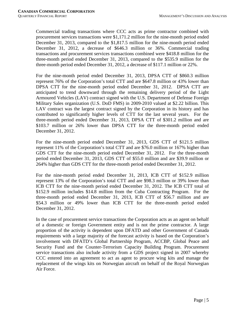Commercial trading transactions where CCC acts as prime contractor combined with procurement services transactions were \$1,171.2 million for the nine-month period ended December 31, 2013, compared to the \$1,817.5 million for the nine-month period ended December 31, 2012, a decrease of \$646.3 million or 36%. Commercial trading transactions and procurement services transactions combined were \$418.8 million for the three-month period ended December 31, 2013, compared to the \$535.9 million for the three-month period ended December 31, 2012, a decrease of \$117.1 million or 22%.

For the nine-month period ended December 31, 2013, DPSA CTT of \$860.3 million represent 76% of the Corporation's total CTT and are \$647.8 million or 43% lower than DPSA CTT for the nine-month period ended December 31, 2012. DPSA CTT are anticipated to trend downward through the remaining delivery period of the Light Armoured Vehicles (LAV) contract signed with the U.S. Department of Defense Foreign Military Sales organization (U.S. DoD FMS) in 2009-2010 valued at \$2.22 billion. This LAV contract was the largest contract signed by the Corporation in its history and has contributed to significantly higher levels of CTT for the last several years. For the three-month period ended December 31, 2013, DPSA CTT of \$301.2 million and are \$103.7 million or 26% lower than DPSA CTT for the three-month period ended December 31, 2012.

For the nine-month period ended December 31, 2013, GDS CTT of \$121.5 million represent 11% of the Corporation's total CTT and are \$76.0 million or 167% higher than GDS CTT for the nine-month period ended December 31, 2012. For the three-month period ended December 31, 2013, GDS CTT of \$55.0 million and are \$39.9 million or 264% higher than GDS CTT for the three-month period ended December 31, 2012.

For the nine-month period ended December 31, 2013, ICB CTT of \$152.9 million represent 13% of the Corporation's total CTT and are \$98.3 million or 39% lower than ICB CTT for the nine-month period ended December 31, 2012. The ICB CTT total of \$152.9 million includes \$14.8 million from the Cuba Contracting Program. For the three-month period ended December 31, 2013, ICB CTT of \$56.7 million and are \$54.3 million or 49% lower than ICB CTT for the three-month period ended December 31, 2012.

In the case of procurement service transactions the Corporation acts as an agent on behalf of a domestic or foreign Government entity and is not the prime contractor. A large proportion of the activity is dependent upon DFATD and other Government of Canada requirements with a large majority of the forecast activity is based on the Corporation's involvement with DFATD's Global Partnership Program, ACCBP, Global Peace and Security Fund and the Counter-Terrorism Capacity Building Program. Procurement service transactions also include activity from a GDS project signed in 2007 whereby CCC entered into an agreement to act as agent to procure wing kits and manage the replacement of the wings kits on Norwegian aircraft on behalf of the Royal Norwegian Air Force.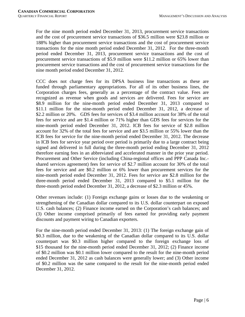For the nine month period ended December 31, 2013, procurement service transactions and the cost of procurement service transactions of \$36.5 million were \$23.8 million or 188% higher than procurement service transactions and the cost of procurement service transactions for the nine month period ended December 31, 2012. For the three-month period ended December 31, 2013, procurement service transactions and the cost of procurement service transactions of \$5.9 million were \$11.2 million or 65% lower than procurement service transactions and the cost of procurement service transactions for the nine month period ended December 31, 2012.

CCC does not charge fees for its DPSA business line transactions as these are funded through parliamentary appropriations. For all of its other business lines, the Corporation charges fees, generally as a percentage of the contract value. Fees are recognized as revenue when goods and services are delivered. Fees for service are \$8.9 million for the nine-month period ended December 31, 2013 compared to \$11.1 million for the nine-month period ended December 31, 2012, a decrease of \$2.2 million or 20%. GDS fees for services of \$3.4 million account for 38% of the total fees for service and are \$1.4 million or 71% higher than GDS fees for services for the nine-month period ended December 31, 2012. ICB fees for service of \$2.8 million account for 32% of the total fees for service and are \$3.5 million or 55% lower than the ICB fees for service for the nine-month period ended December 31, 2012. The decrease in ICB fees for service year period over period is primarily due to a large contract being signed and delivered in full during the three-month period ending December 31, 2012 therefore earning fees in an abbreviated and accelerated manner in the prior year period. Procurement and Other Service (including China-regional offices and PPP Canada Inc. shared services agreement) fees for service of \$2.7 million account for 30% of the total fees for service and are \$0.2 million or 6% lower than procurement services for the nine-month period ended December 31, 2012. Fees for service are \$2.8 million for the three-month period ended December 31, 2013 compared to \$5.1 million for the three-month period ended December 31, 2012, a decrease of \$2.3 million or 45%.

Other revenues include: (1) Foreign exchange gains or losses due to the weakening or strengthening of the Canadian dollar compared to its U.S. dollar counterpart on exposed U.S. cash balances; (2) Finance income earned on the Corporation's cash balances; and (3) Other income comprised primarily of fees earned for providing early payment discounts and payment wiring to Canadian exporters.

For the nine-month period ended December 31, 2013: (1) The foreign exchange gain of \$0.3 million, due to the weakening of the Canadian dollar compared to its U.S. dollar counterpart was \$0.3 million higher compared to the foreign exchange loss of \$15 thousand for the nine-month period ended December 31, 2012; (2) Finance income of \$0.2 million was \$0.1 million lower compared to the result for the nine-month period ended December 31, 2012 as cash balances were generally lower; and (3) Other income of \$0.2 million was the same compared to the result for the nine-month period ended December 31, 2012.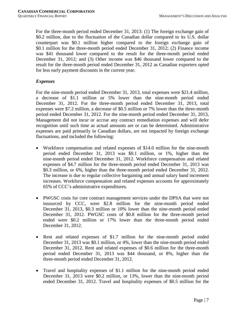For the three-month period ended December 31, 2013: (1) The foreign exchange gain of \$0.2 million, due to the fluctuation of the Canadian dollar compared to its U.S. dollar counterpart was \$0.1 million higher compared to the foreign exchange gain of \$0.1 million for the three-month period ended December 31, 2012; (2) Finance income was \$41 thousand lower compared to the result for the three-month period ended December 31, 2012; and (3) Other income was \$46 thousand lower compared to the result for the three-month period ended December 31, 2012 as Canadian exporters opted for less early payment discounts in the current year.

# *Expenses*

For the nine-month period ended December 31, 2013, total expenses were \$21.4 million, a decrease of \$1.1 million or 5% lower than the nine-month period ended December 31, 2012. For the three-month period ended December 31, 2013, total expenses were \$7.2 million, a decrease of \$0.5 million or 7% lower than the three-month period ended December 31, 2012. For the nine-month period ended December 31, 2013, Management did not incur or accrue any contract remediation expenses and will defer recognition until such time as actual amounts are or can be determined. Administrative expenses are paid primarily in Canadian dollars, are not impacted by foreign exchange fluctuations, and included the following:

- Workforce compensation and related expenses of \$14.0 million for the nine-month period ended December 31, 2013 was \$0.1 million, or 1%, higher than the nine-month period ended December 31, 2012. Workforce compensation and related expenses of \$4.7 million for the three-month period ended December 31, 2013 was \$0.3 million, or 6%, higher than the three-month period ended December 31, 2012. The increase is due to regular collective bargaining and annual salary band increment increases. Workforce compensation and related expenses accounts for approximately 65% of CCC's administrative expenditures.
- PWGSC costs for core contract management services under the DPSA that were not insourced by CCC, were \$2.8 million for the nine-month period ended December 31, 2013, \$0.3 million or 10% lower than the nine-month period ended December 31, 2012. PWGSC costs of \$0.8 million for the three-month period ended were \$0.2 million or 17% lower than the three-month period ended December 31, 2012.
- Rent and related expenses of \$1.7 million for the nine-month period ended December 31, 2013 was \$0.1 million, or 4%, lower than the nine-month period ended December 31, 2012. Rent and related expenses of \$0.6 million for the three-month period ended December 31, 2013 was \$44 thousand, or 8%, higher than the three-month period ended December 31, 2012.
- Travel and hospitality expenses of \$1.1 million for the nine-month period ended December 31, 2013 were \$0.2 million, or 13%, lower than the nine-month period ended December 31, 2012. Travel and hospitality expenses of \$0.5 million for the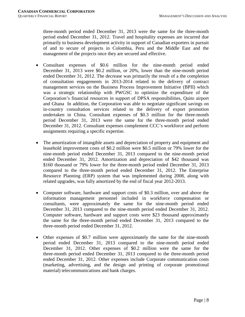three-month period ended December 31, 2013 were the same for the three-month period ended December 31, 2012. Travel and hospitality expenses are incurred due primarily to business development activity in support of Canadian exporters in pursuit of and to secure of projects in Colombia, Peru and the Middle East and the management of the projects once they are secured and effective.

- Consultant expenses of \$0.6 million for the nine-month period ended December 31, 2013 were \$0.2 million, or 20%, lower than the nine-month period ended December 31, 2012. The decrease was primarily the result of a the completion of consultation engagements in 2013-2014 related to the delivery of contract management services on the Business Process Improvement Initiative (BPII) which was a strategic relationship with PWGSC to optimize the expenditure of the Corporation's financial resources in support of DPSA responsibilities, Quito airport and Ghana In addition, the Corporation was able to negotiate significant savings on in-country consultation services related to the delivery of export promotion undertaken in China. Consultant expenses of \$0.3 million for the three-month period December 31, 2013 were the same for the three-month period ended December 31, 2012. Consultant expenses complement CCC's workforce and perform assignments requiring a specific expertise.
- The amortization of intangible assets and depreciation of property and equipment and leasehold improvement costs of \$0.2 million were \$0.5 million or 79% lower for the nine-month period ended December 31, 2013 compared to the nine-month period ended December 31, 2012. Amortization and depreciation of \$42 thousand was \$160 thousand or 79% lower for the three-month period ended December 31, 2013 compared to the three-month period ended December 31, 2012. The Enterprise Resource Planning (ERP) system that was implemented during 2008, along with related upgrades, was fully amortized by the end of fiscal year 2012-2013.
- Computer software, hardware and support costs of \$0.3 million, over and above the information management personnel included in workforce compensation or consultants, were approximately the same for the nine-month period ended December 31, 2013 compared to the nine-month period ended December 31, 2012. Computer software, hardware and support costs were \$23 thousand approximately the same for the three-month period ended December 31, 2013 compared to the three-month period ended December 31, 2012.
- Other expenses of \$0.7 million were approximately the same for the nine-month period ended December 31, 2013 compared to the nine-month period ended December 31, 2012. Other expenses of \$0.2 million were the same for the three-month period ended December 31, 2013 compared to the three-month period ended December 31, 2012. Other expenses include Corporate communication costs (marketing, advertising, and the design and printing of corporate promotional material) telecommunications and bank charges.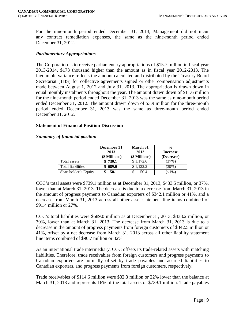For the nine-month period ended December 31, 2013, Management did not incur any contract remediation expenses, the same as the nine-month period ended December 31, 2012.

# *Parliamentary Appropriations*

The Corporation is to receive parliamentary appropriations of \$15.7 million in fiscal year 2013-2014, \$173 thousand higher than the amount as in fiscal year 2012-2013. The favourable variance reflects the amount calculated and distributed by the Treasury Board Secretariat (TBS) for collective agreements signed or other compensation adjustments made between August 1, 2012 and July 31, 2013. The appropriation is drawn down in equal monthly instalments throughout the year. The amount drawn down of \$11.6 million for the nine-month period ended December 31, 2013 was the same as nine-month period ended December 31, 2012. The amount drawn down of \$3.9 million for the three-month period ended December 31, 2013 was the same as three-month period ended December 31, 2012.

## **Statement of Financial Position Discussion**

#### *Summary of financial position*

|                          | December 31<br>2013<br>(\$ Millions) | March 31<br>2013<br>(\$ Millions) | $\frac{0}{0}$<br><b>Increase</b><br>(Decrease) |
|--------------------------|--------------------------------------|-----------------------------------|------------------------------------------------|
| Total assets             | \$739.1                              | \$1,172.6                         | (37%)                                          |
| <b>Total liabilities</b> | 689.0                                | \$1.122.2                         | (39%)                                          |
| Shareholder's Equity     | 50.1                                 | 50.4                              | $(1\%)$                                        |

CCC's total assets were \$739.1 million as at December 31, 2013, \$433.5 million, or 37%, lower than at March 31, 2013. The decrease is due to a decrease from March 31, 2013 in the amount of progress payments to Canadian exporters of \$342.1 million or 41%, and a decrease from March 31, 2013 across all other asset statement line items combined of \$91.4 million or 27%.

CCC's total liabilities were \$689.0 million as at December 31, 2013, \$433.2 million, or 39%, lower than at March 31, 2013. The decrease from March 31, 2013 is due to a decrease in the amount of progress payments from foreign customers of \$342.5 million or 41%, offset by a net decrease from March 31, 2013 across all other liability statement line items combined of \$90.7 million or 32%.

As an international trade intermediary, CCC offsets its trade-related assets with matching liabilities. Therefore, trade receivables from foreign customers and progress payments to Canadian exporters are normally offset by trade payables and accrued liabilities to Canadian exporters, and progress payments from foreign customers, respectively.

Trade receivables of \$114.6 million were \$32.3 million or 22% lower than the balance at March 31, 2013 and represents 16% of the total assets of \$739.1 million. Trade payables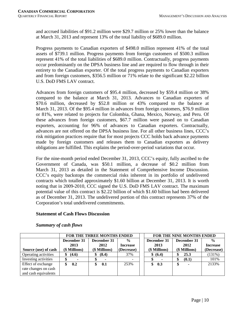and accrued liabilities of \$91.2 million were \$29.7 million or 25% lower than the balance at March 31, 2013 and represent 13% of the total liability of \$689.0 million.

Progress payments to Canadian exporters of \$498.0 million represent 41% of the total assets of \$739.1 million. Progress payments from foreign customers of \$500.3 million represent 41% of the total liabilities of \$689.0 million. Contractually, progress payments occur predominantly on the DPSA business line and are required to flow through in their entirety to the Canadian exporter. Of the total progress payments to Canadian exporters and from foreign customers, \$356.5 million or 71% relate to the significant \$2.22 billion U.S. DoD FMS LAV contract.

Advances from foreign customers of \$95.4 million, decreased by \$59.4 million or 38% compared to the balance at March 31, 2013. Advances to Canadian exporters of \$70.6 million, decreased by \$52.8 million or 43% compared to the balance at March 31, 2013. Of the \$95.4 million in advances from foreign customers, \$76.9 million or 81%, were related to projects for Colombia, Ghana, Mexico, Norway, and Peru. Of these advances from foreign customers, \$67.7 million were passed on to Canadian exporters, accounting for 96% of advances to Canadian exporters. Contractually, advances are not offered on the DPSA business line. For all other business lines, CCC's risk mitigation practices require that for most projects CCC holds back advance payments made by foreign customers and releases them to Canadian exporters as delivery obligations are fulfilled. This explains the period-over-period variations that occur.

For the nine-month period ended December 31, 2013, CCC's equity, fully ascribed to the Government of Canada, was \$50.1 million, a decrease of \$0.2 million from March 31, 2013 as detailed in the Statement of Comprehensive Income Discussion. CCC's equity backstops the commercial risks inherent in its portfolio of undelivered contracts which totalled approximately \$1.60 billion at December 31, 2013. It is worth noting that in 2009-2010, CCC signed the U.S. DoD FMS LAV contract. The maximum potential value of this contract is \$2.22 billion of which \$1.60 billion had been delivered as of December 31, 2013. The undelivered portion of this contract represents 37% of the Corporation's total undelivered commitments.

# **Statement of Cash Flows Discussion**

|                      |               | <b>FOR THE THREE MONTHS ENDED</b> |                 | <b>FOR THE NINE MONTHS ENDED</b> |               |                |                 |  |  |
|----------------------|---------------|-----------------------------------|-----------------|----------------------------------|---------------|----------------|-----------------|--|--|
|                      | December 31   | December 31                       | $\frac{6}{6}$   |                                  | December 31   | December 31    | $\frac{0}{0}$   |  |  |
|                      | 2013          | 2012                              | <b>Increase</b> |                                  | 2013          | 2012           | <b>Increase</b> |  |  |
| Source (use) of cash | (\$ Millions) | (\$ Millions)                     | (Decrease)      |                                  | (\$ Millions) | (\$ Millions)  | (Decrease)      |  |  |
| Operating activities | (4.6)<br>\$   | (8.4)<br>\$                       | 37%             |                                  | \$ (6.4)      | 25.3           | (131%)          |  |  |
| Investing activities |               |                                   |                 |                                  |               | (0.1)          | 101%            |  |  |
| Effect of exchange   | 0.2           | 0.1                               | 253%            |                                  | 0.3<br>\$     | $\blacksquare$ | 2133%           |  |  |
| rate changes on cash |               |                                   |                 |                                  |               |                |                 |  |  |
| and cash equivalents |               |                                   |                 |                                  |               |                |                 |  |  |

# *Summary of cash flows*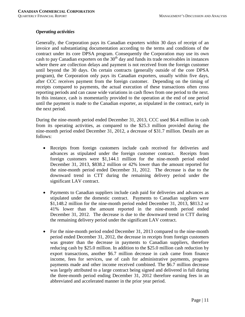## *Operating activities*

Generally, the Corporation pays its Canadian exporters within 30 days of receipt of an invoice and substantiating documentation according to the terms and conditions of the contract under its core DPSA program. Consequently the Corporation may use its own cash to pay Canadian exporters on the  $30<sup>th</sup>$  day and funds its trade receivables in instances where there are collection delays and payment is not received from the foreign customer until beyond the 30 days. On certain contracts (generally outside of the core DPSA program), the Corporation only pays its Canadian exporters, usually within five days, after CCC receives payment from the foreign customer. Depending on the timing of receipts compared to payments, the actual execution of these transactions often cross reporting periods and can cause wide variations in cash flows from one period to the next. In this instance, cash is momentarily provided to the operation at the end of one period until the payment is made to the Canadian exporter, as stipulated in the contract, early in the next period.

During the nine-month period ended December 31, 2013, CCC used \$6.4 million in cash from its operating activities, as compared to the \$25.3 million provided during the nine-month period ended December 31, 2012, a decrease of \$31.7 million. Details are as follows:

- Receipts from foreign customers include cash received for deliveries and advances as stipulated under the foreign customer contract. Receipts from foreign customers were \$1,144.1 million for the nine-month period ended December 31, 2013, \$838.2 million or 42% lower than the amount reported for the nine-month period ended December 31, 2012. The decrease is due to the downward trend in CTT during the remaining delivery period under the significant LAV contract.
- Payments to Canadian suppliers include cash paid for deliveries and advances as stipulated under the domestic contract. Payments to Canadian suppliers were \$1,148.2 million for the nine-month period ended December 31, 2013, \$813.2 or 41% lower than the amount reported in the nine-month period ended December 31, 2012. The decrease is due to the downward trend in CTT during the remaining delivery period under the significant LAV contract.
- For the nine-month period ended December 31, 2013 compared to the nine-month period ended December 31, 2012, the decrease in receipts from foreign customers was greater than the decrease in payments to Canadian suppliers, therefore reducing cash by \$25.0 million. In addition to the \$25.0 million cash reduction by export transactions, another \$6.7 million decrease in cash came from finance income, fees for services, use of cash for administrative payments, progress payments made and other income received combined. The \$6.7 million decrease was largely attributed to a large contract being signed and delivered in full during the three-month period ending December 31, 2012 therefore earning fees in an abbreviated and accelerated manner in the prior year period.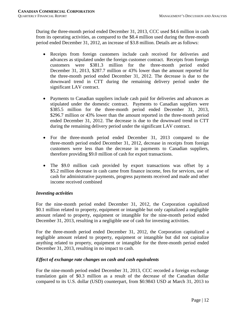During the three-month period ended December 31, 2013, CCC used \$4.6 million in cash from its operating activities, as compared to the \$8.4 million used during the three-month period ended December 31, 2012, an increase of \$3.8 million. Details are as follows:

- Receipts from foreign customers include cash received for deliveries and advances as stipulated under the foreign customer contract. Receipts from foreign customers were \$381.3 million for the three-month period ended December 31, 2013, \$287.7 million or 43% lower than the amount reported for the three-month period ended December 31, 2012. The decrease is due to the downward trend in CTT during the remaining delivery period under the significant LAV contract.
- Payments to Canadian suppliers include cash paid for deliveries and advances as stipulated under the domestic contract. Payments to Canadian suppliers were \$385.5 million for the three-month period ended December 31, 2013, \$296.7 million or 43% lower than the amount reported in the three-month period ended December 31, 2012. The decrease is due to the downward trend in CTT during the remaining delivery period under the significant LAV contract.
- For the three-month period ended December 31, 2013 compared to the three-month period ended December 31, 2012, decrease in receipts from foreign customers were less than the decrease in payments to Canadian suppliers, therefore providing \$9.0 million of cash for export transactions.
- The \$9.0 million cash provided by export transactions was offset by a \$5.2 million decrease in cash came from finance income, fees for services, use of cash for administrative payments, progress payments received and made and other income received combined

# *Investing activities*

For the nine-month period ended December 31, 2012, the Corporation capitalized \$0.1 million related to property, equipment or intangible but only capitalized a negligible amount related to property, equipment or intangible for the nine-month period ended December 31, 2013, resulting in a negligible use of cash for investing activities.

For the three-month period ended December 31, 2012, the Corporation capitalized a negligible amount related to property, equipment or intangible but did not capitalize anything related to property, equipment or intangible for the three-month period ended December 31, 2013, resulting in no impact to cash.

# *Effect of exchange rate changes on cash and cash equivalents*

For the nine-month period ended December 31, 2013, CCC recorded a foreign exchange translation gain of \$0.3 million as a result of the decrease of the Canadian dollar compared to its U.S. dollar (USD) counterpart, from \$0.9843 USD at March 31, 2013 to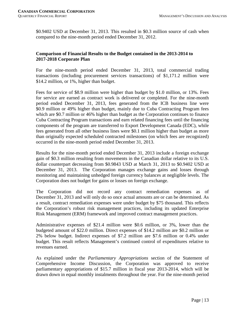\$0.9402 USD at December 31, 2013. This resulted in \$0.3 million source of cash when compared to the nine-month period ended December 31, 2012.

# **Comparison of Financial Results to the Budget contained in the 2013-2014 to 2017-2018 Corporate Plan**

For the nine-month period ended December 31, 2013, total commercial trading transactions (including procurement services transactions) of \$1,171.2 million were \$14.2 million, or 1%, higher than budget.

Fees for service of \$8.9 million were higher than budget by \$1.0 million, or 13%. Fees for service are earned as contract work is delivered or completed. For the nine-month period ended December 31, 2013, fees generated from the ICB business line were \$0.9 million or 49% higher than budget, mainly due to Cuba Contracting Program fees which are \$0.7 million or 46% higher than budget as the Corporation continues to finance Cuba Contracting Program transactions and earn related financing fees until the financing components of the program are transferred to Export Development Canada (EDC), while fees generated from all other business lines were \$0.1 million higher than budget as more than originally expected scheduled contracted milestones (on which fees are recognized) occurred in the nine-month period ended December 31, 2013.

Results for the nine-month period ended December 31, 2013 include a foreign exchange gain of \$0.3 million resulting from movements in the Canadian dollar relative to its U.S. dollar counterpart decreasing from \$0.9843 USD at March 31, 2013 to \$0.9402 USD at December 31, 2013. The Corporation manages exchange gains and losses through monitoring and maintaining unhedged foreign currency balances at negligible levels. The Corporation does not budget for gains or losses on foreign exchange.

The Corporation did not record any contract remediation expenses as of December 31, 2013 and will only do so once actual amounts are or can be determined. As a result, contract remediation expenses were under budget by \$75 thousand. This reflects the Corporation's robust risk management practices, including its updated Enterprise Risk Management (ERM) framework and improved contract management practices.

Administrative expenses of \$21.4 million were \$0.6 million, or 3%, lower than the budgeted amount of \$22.0 million. Direct expenses of \$14.2 million are \$0.2 million or 2% below budget. Indirect expenses of \$7.2 million are \$7.6 million or 0.4% under budget. This result reflects Management's continued control of expenditures relative to revenues earned.

As explained under the *Parliamentary Appropriations* section of the Statement of Comprehensive Income Discussion, the Corporation was approved to receive parliamentary appropriations of \$15.7 million in fiscal year 2013-2014, which will be drawn down in equal monthly instalments throughout the year. For the nine-month period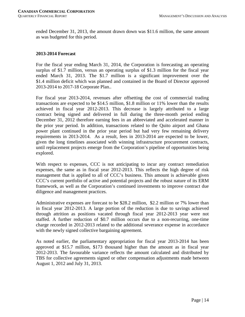ended December 31, 2013, the amount drawn down was \$11.6 million, the same amount as was budgeted for this period.

## **2013-2014 Forecast**

For the fiscal year ending March 31, 2014, the Corporation is forecasting an operating surplus of \$1.7 million, versus an operating surplus of \$1.3 million for the fiscal year ended March 31, 2013. The \$1.7 million is a significant improvement over the \$1.4 million deficit which was planned and contained in the Board of Director approved 2013-2014 to 2017-18 Corporate Plan..

For fiscal year 2013-2014, revenues after offsetting the cost of commercial trading transactions are expected to be \$14.5 million, \$1.8 million or 11% lower than the results achieved in fiscal year 2012-2013. This decrease is largely attributed to a large contract being signed and delivered in full during the three-month period ending December 31, 2012 therefore earning fees in an abbreviated and accelerated manner in the prior year period. In addition, transactions related to the Quito airport and Ghana power plant continued in the prior year period but had very few remaining delivery requirements in 2013-2014. As a result, fees in 2013-2014 are expected to be lower, given the long timelines associated with winning infrastructure procurement contracts, until replacement projects emerge from the Corporation's pipeline of opportunities being explored.

With respect to expenses, CCC is not anticipating to incur any contract remediation expenses, the same as in fiscal year 2012-2013. This reflects the high degree of risk management that is applied to all of CCC's business. This amount is achievable given CCC's current portfolio of active and potential projects and the robust nature of its ERM framework, as well as the Corporation's continued investments to improve contract due diligence and management practices.

Administrative expenses are forecast to be \$28.2 million, \$2.2 million or 7% lower than in fiscal year 2012-2013. A large portion of the reduction is due to savings achieved through attrition as positions vacated through fiscal year 2012-2013 year were not staffed. A further reduction of \$0.7 million occurs due to a non-recurring, one-time charge recorded in 2012-2013 related to the additional severance expense in accordance with the newly signed collective bargaining agreement.

As noted earlier, the parliamentary appropriation for fiscal year 2013-2014 has been approved at \$15.7 million, \$173 thousand higher than the amount as in fiscal year 2012-2013. The favourable variance reflects the amount calculated and distributed by TBS for collective agreements signed or other compensation adjustments made between August 1, 2012 and July 31, 2013.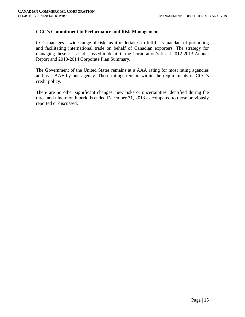# **CCC's Commitment to Performance and Risk Management**

CCC manages a wide range of risks as it undertakes to fulfill its mandate of promoting and facilitating international trade on behalf of Canadian exporters. The strategy for managing these risks is discussed in detail in the Corporation's fiscal 2012-2013 Annual Report and 2013-2014 Corporate Plan Summary.

The Government of the United States remains at a AAA rating for most rating agencies and as a AA+ by one agency. These ratings remain within the requirements of CCC's credit policy.

There are no other significant changes, new risks or uncertainties identified during the three and nine-month periods ended December 31, 2013 as compared to those previously reported or discussed.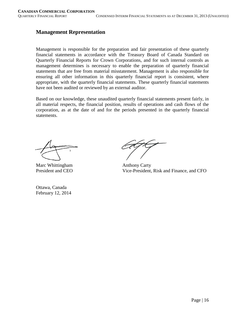# **Management Representation**

Management is responsible for the preparation and fair presentation of these quarterly financial statements in accordance with the Treasury Board of Canada Standard on Quarterly Financial Reports for Crown Corporations, and for such internal controls as management determines is necessary to enable the preparation of quarterly financial statements that are free from material misstatement. Management is also responsible for ensuring all other information in this quarterly financial report is consistent, where appropriate, with the quarterly financial statements. These quarterly financial statements have not been audited or reviewed by an external auditor.

Based on our knowledge, these unaudited quarterly financial statements present fairly, in all material respects, the financial position, results of operations and cash flows of the corporation, as at the date of and for the periods presented in the quarterly financial statements.

Marc Whittingham Anthony Carty<br>President and CEO Vice-President.

Ottawa, Canada February 12, 2014

Vice-President, Risk and Finance, and CFO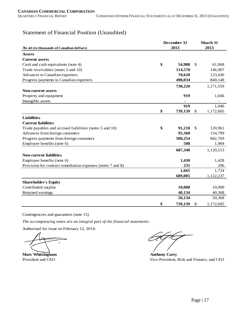# Statement of Financial Position (Unaudited)

|                                                             | December 31 |         | March 31 |           |
|-------------------------------------------------------------|-------------|---------|----------|-----------|
| As at (in thousands of Canadian dollars)                    |             | 2013    |          | 2013      |
| <b>Assets</b>                                               |             |         |          |           |
| <b>Current assets</b>                                       |             |         |          |           |
| Cash and cash equivalents (note 4)                          | \$          | 54,988  | \$       | 61,068    |
| Trade receivables (notes 5 and 10)                          |             | 114,570 |          | 146,907   |
| Advances to Canadian exporters                              |             | 70,628  |          | 123,436   |
| Progress payments to Canadian exporters                     |             | 498,034 |          | 840,148   |
|                                                             |             | 738,220 |          | 1,171,559 |
| <b>Non-current assets</b>                                   |             |         |          |           |
| Property and equipment                                      |             | 919     |          | 1,046     |
| Intangible assets                                           |             |         |          |           |
|                                                             |             | 919     |          | 1,046     |
|                                                             | \$          | 739,139 | \$       | 1,172,605 |
| <b>Liabilities</b>                                          |             |         |          |           |
| <b>Current liabilities</b>                                  |             |         |          |           |
| Trade payables and accrued liabilities (notes 5 and 10)     | \$          | 91,218  | S        | 120,961   |
| Advances from foreign customers                             |             | 95,360  |          | 154,799   |
| Progress payments from foreign customers                    |             | 500,254 |          | 842,769   |
| Employee benefits (note 6)                                  |             | 508     |          | 1,984     |
|                                                             |             | 687,340 |          | 1,120,513 |
| <b>Non-current liabilities</b>                              |             |         |          |           |
| Employee benefits (note 6)                                  |             | 1,430   |          | 1,428     |
| Provision for contract remediation expenses (notes 7 and 8) |             | 235     |          | 296       |
|                                                             |             | 1,665   |          | 1,724     |
|                                                             |             | 689,005 |          | 1,122,237 |
| <b>Shareholder's Equity</b>                                 |             |         |          |           |
| Contributed surplus                                         |             | 10,000  |          | 10,000    |
| Retained earnings                                           |             | 40,134  |          | 40,368    |
|                                                             |             | 50,134  |          | 50,368    |
|                                                             | \$          | 739,139 | \$       | 1,172,605 |

Contingencies and guarantees (note 15)

*The accompanying notes are an integral part of the financial statements.*

Authorized for issue on February 12, 2014:

 $\overline{\mathbf{r}}$ 

**Marc Whittingham Anthony Carty** 

President and CEO Vice-President, Risk and Finance, and CFO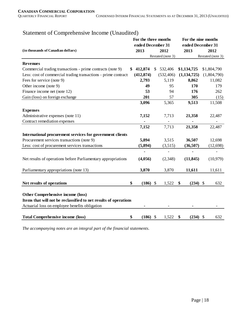| (in thousands of Canadian dollars)                               | For the three months<br>ended December 31<br>2013 |               | 2012              | For the nine months<br>ended December 31<br>2013<br>2012 |               |  |                   |
|------------------------------------------------------------------|---------------------------------------------------|---------------|-------------------|----------------------------------------------------------|---------------|--|-------------------|
|                                                                  |                                                   |               | Restated (note 3) |                                                          |               |  | Restated (note 3) |
| <b>Revenues</b>                                                  |                                                   |               |                   |                                                          |               |  |                   |
| Commercial trading transactions - prime contracts (note 9)       | 412,874<br>SS.                                    | \$            | 532,406           |                                                          | \$1,134,725   |  | \$1,804,790       |
| Less: cost of commercial trading transactions - prime contract:  | (412, 874)                                        |               | (532, 406)        |                                                          | (1, 134, 725) |  | (1,804,790)       |
| Fees for service (note 9)                                        | 2,793                                             |               | 5,119             |                                                          | 8,862         |  | 11,082            |
| Other income (note 9)                                            | 49                                                |               | 95                |                                                          | 170           |  | 179               |
| Finance income net (note 12)                                     | 53                                                |               | 94                |                                                          | 176           |  | 262               |
| Gain (loss) on foreign exchange                                  | 201                                               |               | 57                |                                                          | 305           |  | (15)              |
|                                                                  | 3,096                                             |               | 5,365             |                                                          | 9,513         |  | 11,508            |
| <b>Expenses</b>                                                  |                                                   |               |                   |                                                          |               |  |                   |
| Administrative expenses (note 11)                                | 7,152                                             |               | 7,713             |                                                          | 21,358        |  | 22,487            |
| Contract remediation expenses                                    |                                                   |               |                   |                                                          |               |  |                   |
|                                                                  | 7,152                                             |               | 7,713             |                                                          | 21,358        |  | 22,487            |
| International procurement services for government clients        |                                                   |               |                   |                                                          |               |  |                   |
| Procurement services transactions (note 9)                       | 5,894                                             |               | 3,515             |                                                          | 36,507        |  | 12,698            |
| Less: cost of procurement services transactions                  | (5, 894)                                          |               | (3,515)           |                                                          | (36,507)      |  | (12, 698)         |
|                                                                  |                                                   |               |                   |                                                          |               |  |                   |
| Net results of operations before Parliamentary appropriations    | (4,056)                                           |               | (2,348)           |                                                          | (11, 845)     |  | (10, 979)         |
|                                                                  |                                                   |               |                   |                                                          |               |  |                   |
| Parliamentary appropriations (note 13)                           | 3,870                                             |               | 3,870             |                                                          | 11,611        |  | 11,611            |
|                                                                  |                                                   |               |                   |                                                          |               |  |                   |
| Net results of operations                                        | \$<br>(186)                                       | $\mathcal{S}$ | 1,522             | \$                                                       | $(234)$ \$    |  | 632               |
| Other Comprehensive income (loss)                                |                                                   |               |                   |                                                          |               |  |                   |
| Items that will not be reclassified to net results of operations |                                                   |               |                   |                                                          |               |  |                   |
| Actuarial loss on employee benefits obligation                   |                                                   |               |                   |                                                          |               |  |                   |
| <b>Total Comprehensive income (loss)</b>                         | \$<br>$(186)$ \$                                  |               | 1,522             | \$                                                       | $(234)$ \$    |  | 632               |

# Statement of Comprehensive Income (Unaudited)

*The accompanying notes are an integral part of the financial statements.*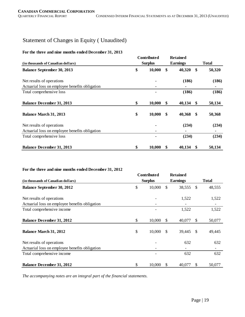# Statement of Changes in Equity ( Unaudited)

#### **For the three and nine months ended December 31, 2013**

|                                                | <b>Contributed</b> |                 | <b>Retained</b> |    |              |
|------------------------------------------------|--------------------|-----------------|-----------------|----|--------------|
| (in thousands of Canadian dollars)             | <b>Surplus</b>     | <b>Earnings</b> |                 |    | <b>Total</b> |
| <b>Balance September 30, 2013</b>              | \$<br>10,000       | \$              | 40,320          | \$ | 50,320       |
| Net results of operations                      |                    |                 | (186)           |    | (186)        |
| Actuarial loss on employee benefits obligation |                    |                 |                 |    |              |
| Total comprehensive loss                       |                    |                 | (186)           |    | (186)        |
| <b>Balance December 31, 2013</b>               | \$<br>10,000       | \$              | 40,134          | \$ | 50,134       |
| Balance March 31, 2013                         | \$<br>10,000       | \$              | 40,368          | -S | 50,368       |
| Net results of operations                      |                    |                 | (234)           |    | (234)        |
| Actuarial loss on employee benefits obligation |                    |                 |                 |    |              |
| Total comprehensive loss                       |                    |                 | (234)           |    | (234)        |
| <b>Balance December 31, 2013</b>               | \$<br>10,000       | \$              | 40,134          | S  | 50,134       |

#### **For the three and nine months ended December 31, 2012**

|                                                | Contributed    |               | <b>Retained</b> |               |              |
|------------------------------------------------|----------------|---------------|-----------------|---------------|--------------|
| (in thousands of Canadian dollars)             | <b>Surplus</b> |               | <b>Earnings</b> |               | <b>Total</b> |
| <b>Balance September 30, 2012</b>              | \$<br>10,000   | \$.           | 38,555          | <sup>\$</sup> | 48,555       |
| Net results of operations                      |                |               | 1,522           |               | 1,522        |
| Actuarial loss on employee benefits obligation |                |               |                 |               |              |
| Total comprehensive income                     |                |               | 1,522           |               | 1,522        |
| <b>Balance December 31, 2012</b>               | \$<br>10,000   | \$            | 40,077          | <sup>S</sup>  | 50,077       |
| Balance March 31, 2012                         | \$<br>10,000   | $\mathbb{S}$  | 39,445          | <sup>\$</sup> | 49,445       |
| Net results of operations                      |                |               | 632             |               | 632          |
| Actuarial loss on employee benefits obligation |                |               |                 |               | -            |
| Total comprehensive income                     |                |               | 632             |               | 632          |
| <b>Balance December 31, 2012</b>               | \$<br>10,000   | <sup>\$</sup> | 40,077          | S             | 50,077       |

*The accompanying notes are an integral part of the financial statements.*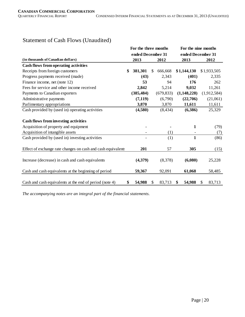|                                                                                      | For the three months |               |            | For the nine months |              |    |             |  |
|--------------------------------------------------------------------------------------|----------------------|---------------|------------|---------------------|--------------|----|-------------|--|
|                                                                                      | ended December 31    |               |            | ended December 31   |              |    |             |  |
| (in thousands of Canadian dollars)                                                   | 2013                 |               | 2012       | 2013                |              |    | 2012        |  |
| Cash flows from operating activities                                                 |                      |               |            |                     |              |    |             |  |
| Receipts from foreign customers                                                      | \$<br>381,301        | <sup>\$</sup> | 666,668    | \$1,144,130         |              |    | \$1,933,505 |  |
| Progress payments received (made)                                                    | (43)                 |               | 2,343      | (401)               |              |    | 2,335       |  |
| Finance income, net (note 12)                                                        | 53                   |               | 94         | 176                 |              |    | 262         |  |
| Fees for service and other income received                                           | 2,842                |               | 5,214      | 9,032               |              |    | 11,261      |  |
| Payments to Canadian exporters                                                       | (385, 484)           |               | (679, 833) | (1,148,228)         |              |    | (1,912,584) |  |
| Administrative payments                                                              | (7, 119)             |               | (6,790)    | (22,706)            |              |    | (21,061)    |  |
| Parlimentary appropriations                                                          | 3,870                |               | 3,870      | 11,611              |              |    | 11,611      |  |
| Cash provided by (used in) operating activities                                      | (4,580)              |               | (8, 434)   | (6,386)             |              |    | 25,329      |  |
| <b>Cash flows from investing activities</b><br>Acquisition of property and equipment |                      |               |            |                     | $\mathbf{1}$ |    | (79)        |  |
| Acquisition of intangible assets                                                     |                      |               | (1)        |                     |              |    | (7)         |  |
| Cash provided by (used in) investing activities                                      |                      |               | (1)        |                     | $\mathbf{1}$ |    | (86)        |  |
| Effect of exchange rate changes on cash and cash equivalents                         | 201                  |               | 57         | 305                 |              |    | (15)        |  |
| Increase (decrease) in cash and cash equivalents                                     | (4,379)              |               | (8,378)    | (6,080)             |              |    | 25,228      |  |
| Cash and cash equivalents at the beginning of period                                 | 59,367               |               | 92,091     | 61,068              |              |    | 58,485      |  |
| Cash and cash equivalents at the end of period (note 4)                              | \$<br>54,988         | \$            | 83,713     | 54,988<br>\$        |              | \$ | 83,713      |  |

# Statement of Cash Flows (Unaudited)

*The accompanying notes are an integral part of the financial statements.*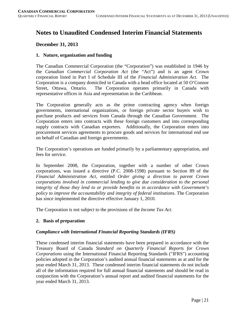# **Notes to Unaudited Condensed Interim Financial Statements**

# **December 31, 2013**

# **1. Nature, organization and funding**

The Canadian Commercial Corporation (the "Corporation") was established in 1946 by the *Canadian Commercial Corporation Act* (the "Act") and is an agent Crown corporation listed in Part I of Schedule III of the *Financial Administration Act*. The Corporation is a company domiciled in Canada with a head office located at 50 O'Connor Street, Ottawa, Ontario. The Corporation operates primarily in Canada with representative offices in Asia and representation in the Caribbean.

The Corporation generally acts as the prime contracting agency when foreign governments, international organizations, or foreign private sector buyers wish to purchase products and services from Canada through the Canadian Government. The Corporation enters into contracts with these foreign customers and into corresponding supply contracts with Canadian exporters. Additionally, the Corporation enters into procurement services agreements to procure goods and services for international end use on behalf of Canadian and foreign governments.

The Corporation's operations are funded primarily by a parliamentary appropriation, and fees for service.

In September 2008, the Corporation, together with a number of other Crown corporations, was issued a directive (P.C. 2008-1598) pursuant to Section 89 of the *Financial Administration Act*, entitled *Order giving a direction to parent Crown corporations involved in commercial lending to give due consideration to the personal integrity of those they lend to or provide benefits to in accordance with Government's policy to improve the accountability and integrity of federal institutions*. The Corporation has since implemented the directive effective January 1, 2010.

The Corporation is not subject to the provisions of the *Income Tax Act*.

# **2. Basis of preparation**

# *Compliance with International Financial Reporting Standards (IFRS)*

These condensed interim financial statements have been prepared in accordance with the Treasury Board of Canada *Standard on Quarterly Financial Reports for Crown Corporations* using the International Financial Reporting Standards ("IFRS") accounting policies adopted in the Corporation's audited annual financial statements as at and for the year ended March 31, 2013. These condensed interim financial statements do not include all of the information required for full annual financial statements and should be read in conjunction with the Corporation's annual report and audited financial statements for the year ended March 31, 2013.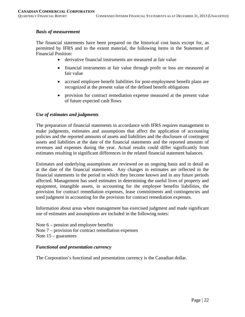#### *Basis of measurement*

The financial statements have been prepared on the historical cost basis except for, as permitted by IFRS and to the extent material, the following items in the Statement of Financial Position:

- derivative financial instruments are measured at fair value
- financial instruments at fair value through profit or loss are measured at fair value
- accrued employee benefit liabilities for post-employment benefit plans are recognized at the present value of the defined benefit obligations
- provision for contract remediation expense measured at the present value of future expected cash flows

#### *Use of estimates and judgments*

The preparation of financial statements in accordance with IFRS requires management to make judgments, estimates and assumptions that affect the application of accounting policies and the reported amounts of assets and liabilities and the disclosure of contingent assets and liabilities at the date of the financial statements and the reported amounts of revenues and expenses during the year. Actual results could differ significantly from estimates resulting in significant differences in the related financial statement balances.

Estimates and underlying assumptions are reviewed on an ongoing basis and in detail as at the date of the financial statements. Any changes in estimates are reflected in the financial statements in the period in which they become known and in any future periods affected. Management has used estimates in determining the useful lives of property and equipment, intangible assets, in accounting for the employee benefits liabilities, the provision for contract remediation expenses, lease commitments and contingencies and used judgment in accounting for the provision for contract remediation expenses.

Information about areas where management has exercised judgment and made significant use of estimates and assumptions are included in the following notes:

Note 6 – pension and employee benefits Note 7 – provision for contract remediation expenses Note  $15$  – guarantees

#### *Functional and presentation currency*

The Corporation's functional and presentation currency is the Canadian dollar.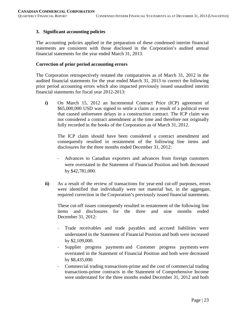# **3. Significant accounting policies**

The accounting policies applied in the preparation of these condensed interim financial statements are consistent with those disclosed in the Corporation's audited annual financial statements for the year ended March 31, 2013.

## **Correction of prior period accounting errors**

The Corporation retrospectively restated the comparatives as of March 31, 2012 in the audited financial statements for the year ended March 31, 2013 to correct the following prior period accounting errors which also impacted previously issued unaudited interim financial statements for fiscal year 2012-2013:

**i)** On March 15, 2012 an Incremental Contract Price (ICP) agreement of \$65,000,000 USD was signed to settle a claim as a result of a political event that caused unforeseen delays in a construction contract. The ICP claim was not considered a contract amendment at the time and therefore not originally fully recorded in the books of the Corporation as of March 31, 2012.

The ICP claim should have been considered a contract amendment and consequently resulted in restatement of the following line items and disclosures for the three months ended December 31, 2012:

- Advances to Canadian exporters and advances from foreign customers were overstated in the Statement of Financial Position and both decreased by \$42,781,000.
- **ii)** As a result of the review of transactions for year-end cut-off purposes, errors were identified that individually were not material but, in the aggregate, required correction in the Corporation's previously issued financial statements.

These cut-off issues consequently resulted in restatement of the following line items and disclosures for the three and nine months ended December 31, 2012:

- Trade receivables and trade payables and accrued liabilities were understated in the Statement of Financial Position and both were increased by \$2,109,000.
- Supplier progress payments and Customer progress payments were overstated in the Statement of Financial Position and both were decreased by \$8,435,000.
- Commercial trading transactions-prime and the cost of commercial trading transactions-prime contracts in the Statement of Comprehensive Income were understated for the three months ended December 31, 2012 and both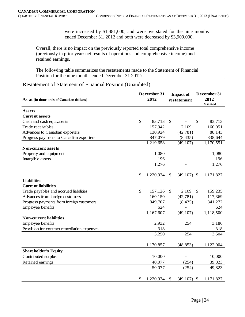were increased by \$1,481,000, and were overstated for the nine months ended December 31, 2012 and both were decreased by \$3,909,000.

Overall, there is no impact on the previously reported total comprehensive income (previously in prior year: net results of operations and comprehensive income) and retained earnings.

The following table summarizes the restatements made to the Statement of Financial Position for the nine months ended December 31 2012:

Restatement of Statement of Financial Position (Unaudited)

| As at (in thousands of Canadian dollars)    | December 31<br>2012 | <b>Impact of</b><br>restatement |               |               | December 31<br>2012<br>Restated |
|---------------------------------------------|---------------------|---------------------------------|---------------|---------------|---------------------------------|
| <b>Assets</b>                               |                     |                                 |               |               |                                 |
| <b>Current assets</b>                       |                     |                                 |               |               |                                 |
| Cash and cash equivalents                   | \$<br>83,713        | $\mathcal{S}$                   |               | $\mathcal{S}$ | 83,713                          |
| Trade receivables                           | 157,942             |                                 | 2,109         |               | 160,051                         |
| Advances to Canadian exporters              | 130,924             |                                 | (42, 781)     |               | 88,143                          |
| Progress payments to Canadian exporters     | 847,079             |                                 | (8, 435)      |               | 838,644                         |
|                                             | 1,219,658           |                                 | (49, 107)     |               | 1,170,551                       |
| <b>Non-current assets</b>                   |                     |                                 |               |               |                                 |
| Property and equipment                      | 1,080               |                                 |               |               | 1,080                           |
| Intangible assets                           | 196                 |                                 |               |               | 196                             |
|                                             | 1,276               |                                 |               |               | 1,276                           |
|                                             | \$<br>1,220,934     | \$                              | (49,107)      | $\mathcal{S}$ | 1,171,827                       |
| <b>Liabilities</b>                          |                     |                                 |               |               |                                 |
| <b>Current liabilities</b>                  |                     |                                 |               |               |                                 |
| Trade payables and accrued liabilities      | \$<br>157,126       | \$                              | 2,109         | $\mathbb{S}$  | 159,235                         |
| Advances from foreign customers             | 160,150             |                                 | (42, 781)     |               | 117,369                         |
| Progress payments from foreign customers    | 849,707             |                                 | (8, 435)      |               | 841,272                         |
| Employee benefits                           | 624                 |                                 |               |               | 624                             |
|                                             | 1,167,607           |                                 | (49, 107)     |               | 1,118,500                       |
| <b>Non-current liabilities</b>              |                     |                                 |               |               |                                 |
| Employee benefits                           | 2,932               |                                 | 254           |               | 3,186                           |
| Provision for contract remediation expenses | 318                 |                                 |               |               | 318                             |
|                                             | 3,250               |                                 | 254           |               | 3,504                           |
|                                             | 1,170,857           |                                 | (48, 853)     |               | 1,122,004                       |
| <b>Shareholder's Equity</b>                 |                     |                                 |               |               |                                 |
| Contributed surplus                         | 10,000              |                                 |               |               | 10,000                          |
| Retained earnings                           | 40,077              |                                 | (254)         |               | 39,823                          |
|                                             | 50,077              |                                 | (254)         |               | 49,823                          |
|                                             | \$<br>1,220,934     | \$                              | $(49,107)$ \$ |               | 1,171,827                       |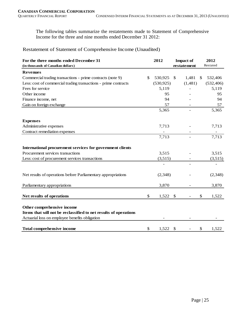The following tables summarize the restatements made to Statement of Comprehensive Income for the three and nine months ended December 31 2012:

Restatement of Statement of Comprehensive Income (Unaudited)

| For the three months ended December 31                           | 2012<br><b>Impact of</b> |            |                           |    |            |
|------------------------------------------------------------------|--------------------------|------------|---------------------------|----|------------|
| (in thousands of Canadian dollars)                               |                          |            | restatement               |    | Restated   |
| <b>Revenues</b>                                                  |                          |            |                           |    |            |
| Commercial trading transactions - prime contracts (note 9)       | \$                       | 530,925    | 1,481<br>\$               | \$ | 532,406    |
| Less: cost of commercial trading transactions - prime contracts  |                          | (530, 925) | (1,481)                   |    | (532, 406) |
| Fees for service                                                 |                          | 5,119      |                           |    | 5,119      |
| Other income                                                     |                          | 95         |                           |    | 95         |
| Finance income, net                                              |                          | 94         |                           |    | 94         |
| Gain on foreign exchange                                         |                          | 57         |                           |    | 57         |
|                                                                  |                          | 5,365      |                           |    | 5,365      |
| <b>Expenses</b>                                                  |                          |            |                           |    |            |
| Administrative expenses                                          |                          | 7,713      |                           |    | 7,713      |
| Contract remediation expenses                                    |                          |            |                           |    |            |
|                                                                  |                          | 7,713      |                           |    | 7,713      |
|                                                                  |                          |            |                           |    |            |
| International procurement services for government clients        |                          |            |                           |    |            |
| Procurement services transactions                                |                          | 3,515      |                           |    | 3,515      |
| Less: cost of procurement services transactions                  |                          | (3,515)    |                           |    | (3,515)    |
|                                                                  |                          |            |                           |    |            |
| Net results of operations before Parliamentary appropriations    |                          | (2, 348)   |                           |    | (2,348)    |
| Parliamentary appropriations                                     |                          | 3,870      |                           |    | 3,870      |
| Net results of operations                                        | \$                       | 1,522      | $\mathcal{L}$             | \$ | 1,522      |
| Other comprehensive income                                       |                          |            |                           |    |            |
| Items that will not be reclassified to net results of operations |                          |            |                           |    |            |
| Actuarial loss on employee benefits obligation                   |                          |            |                           |    |            |
|                                                                  |                          |            |                           |    |            |
| <b>Total comprehensive income</b>                                | \$                       | 1,522      | $\boldsymbol{\mathsf{S}}$ | \$ | 1,522      |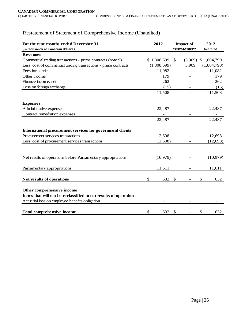| For the nine months ended December 31<br>(in thousands of Canadian dollars) | 2012        |                           | 2012<br>Restated |  |
|-----------------------------------------------------------------------------|-------------|---------------------------|------------------|--|
| <b>Revenues</b>                                                             |             | restatement               |                  |  |
| Commercial trading transactions - prime contracts (note 9)                  | \$1,808,699 | $\mathbb{S}$<br>(3,909)   | \$1,804,790      |  |
| Less: cost of commercial trading transactions - prime contracts             | (1,808,699) | 3,909                     | (1,804,790)      |  |
| Fees for service                                                            | 11,082      |                           | 11,082           |  |
| Other income                                                                | 179         |                           | 179              |  |
| Finance income, net                                                         | 262         |                           | 262              |  |
| Loss on foreign exchange                                                    | (15)        |                           | (15)             |  |
|                                                                             | 11,508      |                           | 11,508           |  |
| <b>Expenses</b>                                                             |             |                           |                  |  |
| Administrative expenses                                                     | 22,487      |                           | 22,487           |  |
| Contract remediation expenses                                               |             |                           |                  |  |
|                                                                             | 22,487      |                           | 22,487           |  |
|                                                                             |             |                           |                  |  |
| International procurement services for government clients                   |             |                           |                  |  |
| Procurement services transactions                                           | 12,698      |                           | 12,698           |  |
| Less: cost of procurement services transactions                             | (12, 698)   |                           | (12, 698)        |  |
|                                                                             |             |                           |                  |  |
| Net results of operations before Parliamentary appropriations               | (10, 979)   |                           | (10,979)         |  |
| Parliamentary appropriations                                                | 11,611      |                           | 11,611           |  |
| Net results of operations                                                   | \$<br>632   | $\mathbb{S}$              | \$<br>632        |  |
| Other comprehensive income                                                  |             |                           |                  |  |
| Items that will not be reclassified to net results of operations            |             |                           |                  |  |
| Actuarial loss on employee benefits obligation                              |             |                           |                  |  |
| <b>Total comprehensive income</b>                                           | \$<br>632   | $\boldsymbol{\mathsf{S}}$ | \$<br>632        |  |

# Restatement of Statement of Comprehensive Income (Unaudited)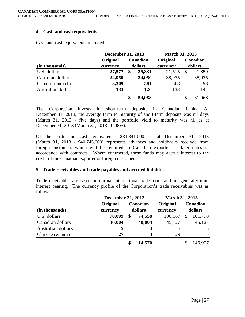## **4. Cash and cash equivalents**

Cash and cash equivalents included:

|                    | December 31, 2013 |         | <b>March 31, 2013</b> |          |         |          |  |
|--------------------|-------------------|---------|-----------------------|----------|---------|----------|--|
|                    | Original          |         | Canadian              | Original |         | Canadian |  |
| (in thousands)     | currency          | dollars |                       | currency | dollars |          |  |
| U.S. dollars       | 27,577            | \$      | 29,331                | 21,515   | -S      | 21,859   |  |
| Canadian dollars   | 24,950            |         | 24,950                | 38,975   |         | 38,975   |  |
| Chinese renminbi   | 3,309             |         | 581                   | 568      |         | 93       |  |
| Australian dollars | 133               |         | 126                   | 133      |         | 141      |  |
|                    |                   | \$      | 54,988                |          | S       | 61,068   |  |

The Corporation invests in short-term deposits in Canadian banks. At December 31, 2013, the average term to maturity of short-term deposits was nil days (March 31, 2013 - five days) and the portfolio yield to maturity was nil as at December 31, 2013 (March 31, 2013 - 0.08%).

Of the cash and cash equivalents, \$31,341,000 as at December 31, 2013 (March 31, 2013 - \$40,745,000) represents advances and holdbacks received from foreign customers which will be remitted to Canadian exporters at later dates in accordance with contracts. Where contracted, these funds may accrue interest to the credit of the Canadian exporter or foreign customer.

#### **5. Trade receivables and trade payables and accrued liabilities**

Trade receivables are based on normal international trade terms and are generally noninterest bearing. The currency profile of the Corporation's trade receivables was as follows:

|                    | December 31, 2013 |    |                  | <b>March 31, 2013</b> |   |          |  |
|--------------------|-------------------|----|------------------|-----------------------|---|----------|--|
|                    | Original          |    | Canadian         | Original              |   | Canadian |  |
| (in thousands)     | currency          |    | dollars          | currency              |   | dollars  |  |
| U.S. dollars       | 70,099            | \$ | 74,558           | 100,167               | S | 101,770  |  |
| Canadian dollars   | 40,004            |    | 40,004           | 45,127                |   | 45,127   |  |
| Australian dollars | 5                 |    | $\boldsymbol{4}$ | 5                     |   | 5        |  |
| Chinese renminbi   | 27                |    | $\boldsymbol{4}$ | 29                    |   | 5        |  |
|                    |                   |    | 114,570          |                       |   | 146,907  |  |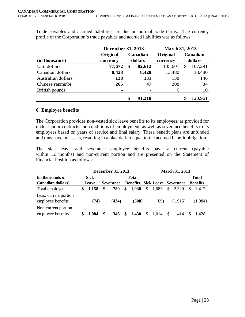Trade payables and accrued liabilities are due on normal trade terms. The currency profile of the Corporation's trade payables and accrued liabilities was as follows:

|                    | December 31, 2013 |          |                | <b>March 31, 2013</b> |          |          |         |  |
|--------------------|-------------------|----------|----------------|-----------------------|----------|----------|---------|--|
|                    | Original          | Canadian |                | Original              | Canadian |          |         |  |
| (in thousands)     | currency          | dollars  |                |                       |          | currency | dollars |  |
| U.S. dollars       | 77,672            | \$       | 82,612         | 105,601               | \$       | 107,291  |         |  |
| Canadian dollars   | 8,428             |          | 8,428          | 13,480                |          | 13,480   |         |  |
| Australian dollars | 138               |          | 131            | 138                   |          | 146      |         |  |
| Chinese renminbi   | 265               |          | 47             | 208                   |          | 34       |         |  |
| British pounds     | -                 |          | $\blacksquare$ | 6                     |          | 10       |         |  |
|                    |                   | \$       | 91,218         |                       |          | 120,961  |         |  |

#### **6. Employee benefits**

The Corporation provides non-vested sick leave benefits to its employees, as provided for under labour contracts and conditions of employment, as well as severance benefits to its employees based on years of service and final salary. These benefit plans are unfunded and thus have no assets, resulting in a plan deficit equal to the accrued benefit obligation.

The sick leave and severance employee benefits have a current (payable within 12 months) and non-current portion and are presented on the Statement of Financial Position as follows:

|                                            | December 31, 2013<br><b>March 31, 2013</b> |             |    |                  |    |                 |    |       |    |                             |     |                 |
|--------------------------------------------|--------------------------------------------|-------------|----|------------------|----|-----------------|----|-------|----|-----------------------------|-----|-----------------|
| (in thousands of                           |                                            | <b>Sick</b> |    |                  |    | <b>Total</b>    |    |       |    |                             |     | <b>Total</b>    |
| <b>Canadian dollars</b> )                  |                                            | Leave       |    | <b>Severance</b> |    | <b>Benefits</b> |    |       |    | <b>Sick Leave Severance</b> |     | <b>Benefits</b> |
| Total employee                             | \$                                         | 1,158       | \$ | 780              | \$ | 1,938           | \$ | 1,083 | \$ | 2,329                       | \$. | 3.412           |
| Less: current portion<br>employee benefits |                                            | (74)        |    | (434)            |    | (508)           |    | (69)  |    | (1,915)                     |     | (1,984)         |
| Non-current portion<br>employee benefits   |                                            | 1.084       |    | 346              |    | 1,430           | S  | 1.014 | -S | 414                         |     | 1.428           |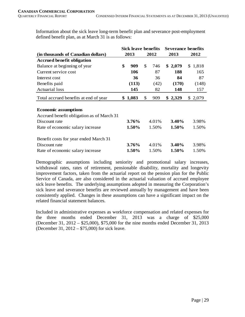Information about the sick leave long-term benefit plan and severance post-employment defined benefit plan, as at March 31 is as follows:

|                                           | <b>Sick leave benefits</b> |         |    |       | <b>Severance benefits</b> |          |  |         |
|-------------------------------------------|----------------------------|---------|----|-------|---------------------------|----------|--|---------|
| (in thousands of Canadian dollars)        |                            | 2013    |    | 2012  |                           | 2013     |  | 2012    |
| <b>Accrued benefit obligation</b>         |                            |         |    |       |                           |          |  |         |
| Balance at beginning of year              | \$                         | 909     | \$ | 746   |                           | \$2,079  |  | \$1,818 |
| Current service cost                      |                            | 106     |    | 87    |                           | 188      |  | 165     |
| Interest cost                             |                            | 36      |    | 36    |                           | 84       |  | 87      |
| Benefits paid                             |                            | (113)   |    | (42)  |                           | (170)    |  | (148)   |
| <b>Actuarial</b> loss                     |                            | 145     |    | 82    |                           | 148      |  | 157     |
| Total accrued benefits at end of year     |                            | \$1,083 | \$ | 909   |                           | \$2,329  |  | \$2,079 |
|                                           |                            |         |    |       |                           |          |  |         |
| <b>Economic assumptions</b>               |                            |         |    |       |                           |          |  |         |
| Accrued benefit obligation as of March 31 |                            |         |    |       |                           |          |  |         |
| Discount rate                             |                            | 3.76%   |    | 4.01% |                           | $3.40\%$ |  | 3.98%   |
| Rate of economic salary increase          |                            | 1.50%   |    | 1.50% |                           | $1.50\%$ |  | 1.50%   |
| Benefit costs for year ended March 31     |                            |         |    |       |                           |          |  |         |
| Discount rate                             |                            | 3.76%   |    | 4.01% |                           | 3.40%    |  | 3.98%   |
| Rate of economic salary increase          |                            | 1.50%   |    | 1.50% |                           | 1.50%    |  | 1.50%   |

Demographic assumptions including seniority and promotional salary increases, withdrawal rates, rates of retirement, pensionable disability, mortality and longevity improvement factors, taken from the actuarial report on the pension plan for the Public Service of Canada, are also considered in the actuarial valuation of accrued employee sick leave benefits. The underlying assumptions adopted in measuring the Corporation's sick leave and severance benefits are reviewed annually by management and have been consistently applied. Changes in these assumptions can have a significant impact on the related financial statement balances.

Included in administrative expenses as workforce compensation and related expenses for the three months ended December 31, 2013 was a charge of \$25,000 (December 31, 2012 – \$25,000), \$75,000 for the nine months ended December 31, 2013 (December 31, 2012 – \$75,000) for sick leave.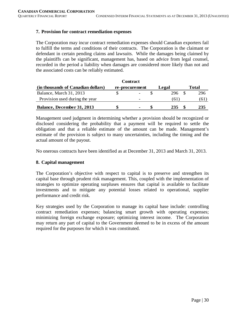# **7. Provision for contract remediation expenses**

The Corporation may incur contract remediation expenses should Canadian exporters fail to fulfill the terms and conditions of their contracts. The Corporation is the claimant or defendant in certain pending claims and lawsuits. While the damages being claimed by the plaintiffs can be significant, management has, based on advice from legal counsel, recorded in the period a liability when damages are considered more likely than not and the associated costs can be reliably estimated.

|                                    | <b>Contract</b> |       |       |
|------------------------------------|-----------------|-------|-------|
| (in thousands of Canadian dollars) | re-procurement  | Legal | Total |
| Balance, March 31, 2013            |                 | 296   | 296   |
| Provision used during the year     | -               | 61.   | (61)  |
| Balance, December 31, 2013         |                 | 235   | 235   |

Management used judgment in determining whether a provision should be recognized or disclosed considering the probability that a payment will be required to settle the obligation and that a reliable estimate of the amount can be made. Management's estimate of the provision is subject to many uncertainties, including the timing and the actual amount of the payout.

No onerous contracts have been identified as at December 31, 2013 and March 31, 2013.

# **8. Capital management**

The Corporation's objective with respect to capital is to preserve and strengthen its capital base through prudent risk management. This, coupled with the implementation of strategies to optimize operating surpluses ensures that capital is available to facilitate investments and to mitigate any potential losses related to operational, supplier performance and credit risk.

Key strategies used by the Corporation to manage its capital base include: controlling contract remediation expenses; balancing smart growth with operating expenses; minimizing foreign exchange exposure; optimizing interest income. The Corporation may return any part of capital to the Government deemed to be in excess of the amount required for the purposes for which it was constituted.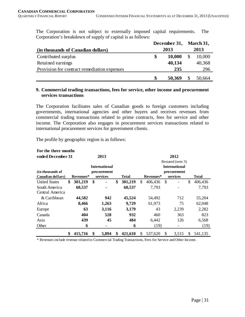The Corporation is not subject to externally imposed capital requirements. The Corporation's breakdown of supply of capital is as follows:

|                                             |   | December 31, | March 31, |
|---------------------------------------------|---|--------------|-----------|
| (in thousands of Canadian dollars)          |   | 2013         | 2013      |
| Contributed surplus                         | S | 10,000       | 10,000    |
| Retained earnings                           |   | 40,134       | 40,368    |
| Provision for contract remediation expenses |   | 235          | 296       |
|                                             | S | 50,369       | 50.664    |

## **9. Commercial trading transactions, fees for service, other income and procurement services transactions**

The Corporation facilitates sales of Canadian goods to foreign customers including governments, international agencies and other buyers and receives revenues from commercial trading transactions related to prime contracts, fees for service and other income. The Corporation also engages in procurement services transactions related to international procurement services for government clients.

The profile by geographic region is as follows:

**For the three months** 

| тог сис сигес пюшив              |               |                      |               |             |           |                           |                      |    |              |
|----------------------------------|---------------|----------------------|---------------|-------------|-----------|---------------------------|----------------------|----|--------------|
| ended December 31                |               | 2013                 |               |             |           |                           | 2012                 |    |              |
|                                  |               |                      |               |             |           |                           | Restated (note 3)    |    |              |
|                                  |               | <b>International</b> |               |             |           |                           | <b>International</b> |    |              |
| (in thousands of                 |               | procurement          |               | procurement |           |                           |                      |    |              |
| Canadian dollars)                | Revenues*     | services             | <b>Total</b>  |             | Revenues* |                           | services             |    | <b>Total</b> |
| <b>United States</b>             | \$<br>301,219 | \$                   | \$<br>301,219 | \$          | 406,436   | $\boldsymbol{\mathsf{S}}$ |                      | \$ | 406,436      |
| South America<br>Central America | 60,537        |                      | 60,537        |             | 7,793     |                           |                      |    | 7,793        |
| & Caribbean                      | 44,582        | 942                  | 45,524        |             | 54,492    |                           | 712                  |    | 55,204       |
| Africa                           | 8,466         | 1,263                | 9,729         |             | 61,973    |                           | 75                   |    | 62,048       |
| Europe                           | 63            | 3,116                | 3,179         |             | 43        |                           | 2,239                |    | 2,282        |
| Canada                           | 404           | 528                  | 932           |             | 460       |                           | 363                  |    | 823          |
| Asia                             | 439           | 45                   | 484           |             | 6,442     |                           | 126                  |    | 6,568        |
| Other                            | 6             | ٠                    | 6             |             | (19)      |                           | ۰                    |    | (19)         |
|                                  | \$<br>415,716 | \$<br>5,894          | \$<br>421,610 | \$          | 537,620   | \$                        | 3,515                | S  | 541.135      |

\* Revenues include revenue related to Commercial Trading Transactions, Fees for Service and Other Income.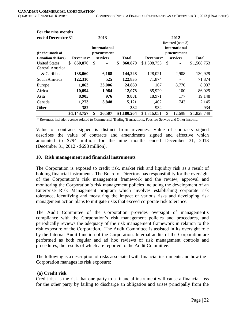| For the nine months  |               |                      |               |                      |                   |              |  |  |  |  |
|----------------------|---------------|----------------------|---------------|----------------------|-------------------|--------------|--|--|--|--|
| ended December 31    |               | 2013                 |               | 2012                 |                   |              |  |  |  |  |
|                      |               |                      |               |                      | Restated (note 3) |              |  |  |  |  |
|                      |               | <b>International</b> |               | <b>International</b> |                   |              |  |  |  |  |
| (in thousands of     |               | procurement          |               |                      | procurement       |              |  |  |  |  |
| Canadian dollars)    | Revenues*     | services             | Total         | Revenues*            | services          | <b>Total</b> |  |  |  |  |
| <b>United States</b> | \$<br>860,870 | \$<br>٠              | \$<br>860,870 | \$1,508,753          | \$                | \$1,508,753  |  |  |  |  |
| Central America      |               |                      |               |                      |                   |              |  |  |  |  |
| & Caribbean          | 138,060       | 6,168                | 144,228       | 128,021              | 2,908             | 130,929      |  |  |  |  |
| South America        | 122,310       | 525                  | 122,835       | 71,874               |                   | 71,874       |  |  |  |  |
| Europe               | 1,863         | 23,006               | 24,869        | 167                  | 8,770             | 8,937        |  |  |  |  |
| Africa               | 10,094        | 1,984                | 12,078        | 85,929               | 100               | 86,029       |  |  |  |  |
| Asia                 | 8,905         | 976                  | 9,881         | 18,971               | 177               | 19,148       |  |  |  |  |
| Canada               | 1,273         | 3,848                | 5,121         | 1,402                | 743               | 2,145        |  |  |  |  |
| Other                | 382           | ۰                    | 382           | 934                  |                   | 934          |  |  |  |  |
|                      | \$1,143,757   | \$<br>36,507         | \$1,180,264   | \$1,816,051          | \$<br>12,698      | \$1,828,749  |  |  |  |  |

\* Revenues include revenue related to Commercial Trading Transactions, Fees for Service and Other Income.

Value of contracts signed is distinct from revenues. Value of contracts signed describes the value of contracts and amendments signed and effective which amounted to \$794 million for the nine months ended December 31, 2013 (December 31, 2012 - \$698 million).

#### **10. Risk management and financial instruments**

The Corporation is exposed to credit risk, market risk and liquidity risk as a result of holding financial instruments. The Board of Directors has responsibility for the oversight of the Corporation's risk management framework and the review, approval and monitoring the Corporation's risk management policies including the development of an Enterprise Risk Management program which involves establishing corporate risk tolerance, identifying and measuring the impact of various risks and developing risk management action plans to mitigate risks that exceed corporate risk tolerance.

The Audit Committee of the Corporation provides oversight of management's compliance with the Corporation's risk management policies and procedures, and periodically reviews the adequacy of the risk management framework in relation to the risk exposure of the Corporation. The Audit Committee is assisted in its oversight role by the Internal Audit function of the Corporation. Internal audits of the Corporation are performed as both regular and ad hoc reviews of risk management controls and procedures, the results of which are reported to the Audit Committee.

The following is a description of risks associated with financial instruments and how the Corporation manages its risk exposure:

#### **(a) Credit risk**

Credit risk is the risk that one party to a financial instrument will cause a financial loss for the other party by failing to discharge an obligation and arises principally from the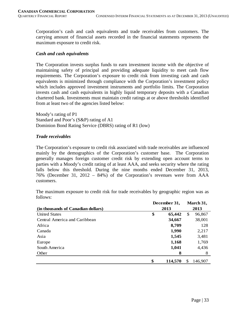Corporation's cash and cash equivalents and trade receivables from customers. The carrying amount of financial assets recorded in the financial statements represents the maximum exposure to credit risk.

#### *Cash and cash equivalents*

The Corporation invests surplus funds to earn investment income with the objective of maintaining safety of principal and providing adequate liquidity to meet cash flow requirements. The Corporation's exposure to credit risk from investing cash and cash equivalents is minimized through compliance with the Corporation's investment policy which includes approved investment instruments and portfolio limits. The Corporation invests cash and cash equivalents in highly liquid temporary deposits with a Canadian chartered bank. Investments must maintain credit ratings at or above thresholds identified from at least two of the agencies listed below:

Moody's rating of P1 Standard and Poor's (S&P) rating of A1 Dominion Bond Rating Service (DBRS) rating of R1 (low)

# *Trade receivables*

The Corporation's exposure to credit risk associated with trade receivables are influenced mainly by the demographics of the Corporation's customer base. The Corporation generally manages foreign customer credit risk by extending open account terms to parties with a Moody's credit rating of at least AAA, and seeks security where the rating falls below this threshold. During the nine months ended December 31, 2013, 76% (December 31, 2012 – 84%) of the Corporation's revenues were from AAA customers.

The maximum exposure to credit risk for trade receivables by geographic region was as follows:

|                                    | December 31, |         |      |         |  |
|------------------------------------|--------------|---------|------|---------|--|
| (in thousands of Canadian dollars) |              | 2013    | 2013 |         |  |
| <b>United States</b>               | \$           | 65,442  | \$   | 96,867  |  |
| Central America and Caribbean      |              | 34,667  |      | 38,001  |  |
| Africa                             |              | 8,709   |      | 128     |  |
| Canada                             |              | 1,990   |      | 2,217   |  |
| Asia                               |              | 1,545   |      | 3,481   |  |
| Europe                             |              | 1,168   |      | 1,769   |  |
| South America                      |              | 1,041   |      | 4,436   |  |
| Other                              |              | 8       |      | 8       |  |
|                                    | \$           | 114,570 | \$.  | 146,907 |  |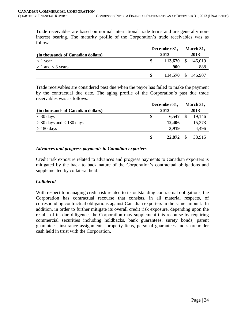Trade receivables are based on normal international trade terms and are generally noninterest bearing. The maturity profile of the Corporation's trade receivables was as follows:

|                                    | December 31, |                    | March 31, |      |  |  |
|------------------------------------|--------------|--------------------|-----------|------|--|--|
| (in thousands of Canadian dollars) | 2013         |                    |           | 2013 |  |  |
| $<$ 1 year                         |              | 113,670 \$ 146,019 |           |      |  |  |
| $> 1$ and $<$ 3 years              |              | 900                |           | 888  |  |  |
|                                    | \$           | 114,570 \$ 146,907 |           |      |  |  |

Trade receivables are considered past due when the payor has failed to make the payment by the contractual due date. The aging profile of the Corporation's past due trade receivables was as follows:

|                                    | December 31, |        | March 31, |        |
|------------------------------------|--------------|--------|-----------|--------|
| (in thousands of Canadian dollars) |              | 2013   |           |        |
| $<$ 30 days                        | S            | 6,547  |           | 19,146 |
| $>$ 30 days and $<$ 180 days       |              | 12,406 |           | 15,273 |
| $> 180$ days                       |              | 3,919  |           | 4,496  |
|                                    |              | 22,872 |           | 38,915 |

#### *Advances and progress payments to Canadian exporters*

Credit risk exposure related to advances and progress payments to Canadian exporters is mitigated by the back to back nature of the Corporation's contractual obligations and supplemented by collateral held.

#### *Collateral*

With respect to managing credit risk related to its outstanding contractual obligations, the Corporation has contractual recourse that consists, in all material respects, of corresponding contractual obligations against Canadian exporters in the same amount. In addition, in order to further mitigate its overall credit risk exposure, depending upon the results of its due diligence, the Corporation may supplement this recourse by requiring commercial securities including holdbacks, bank guarantees, surety bonds, parent guarantees, insurance assignments, property liens, personal guarantees and shareholder cash held in trust with the Corporation.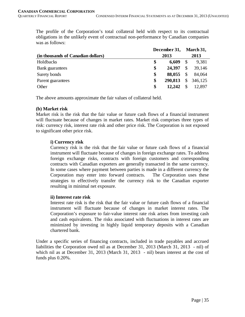The profile of the Corporation's total collateral held with respect to its contractual obligations in the unlikely event of contractual non-performance by Canadian companies was as follows:

|                                    | December 31, |         |    |         |  |
|------------------------------------|--------------|---------|----|---------|--|
| (in thousands of Canadian dollars) | 2013         |         |    |         |  |
| Holdbacks                          | \$           | 6,609   | \$ | 9.381   |  |
| <b>Bank</b> guarantees             | \$           | 24,397  | \$ | 39,146  |  |
| Surety bonds                       | \$           | 88,055  | \$ | 84,064  |  |
| Parent guarantees                  | \$           | 290,813 | \$ | 346,125 |  |
| Other                              | \$           | 12,242  | \$ | 12,897  |  |

The above amounts approximate the fair values of collateral held.

# **(b) Market risk**

Market risk is the risk that the fair value or future cash flows of a financial instrument will fluctuate because of changes in market rates. Market risk comprises three types of risk: currency risk, interest rate risk and other price risk. The Corporation is not exposed to significant other price risk.

# **i) Currency risk**

Currency risk is the risk that the fair value or future cash flows of a financial instrument will fluctuate because of changes in foreign exchange rates. To address foreign exchange risks, contracts with foreign customers and corresponding contracts with Canadian exporters are generally transacted in the same currency. In some cases where payment between parties is made in a different currency the Corporation may enter into forward contracts. The Corporation uses these strategies to effectively transfer the currency risk to the Canadian exporter resulting in minimal net exposure.

# **ii) Interest rate risk**

Interest rate risk is the risk that the fair value or future cash flows of a financial instrument will fluctuate because of changes in market interest rates. The Corporation's exposure to fair-value interest rate risk arises from investing cash and cash equivalents. The risks associated with fluctuations in interest rates are minimized by investing in highly liquid temporary deposits with a Canadian chartered bank.

Under a specific series of financing contracts, included in trade payables and accrued liabilities the Corporation owed nil as at December 31, 2013 (March 31, 2013 - nil) of which nil as at December 31, 2013 (March 31, 2013 - nil) bears interest at the cost of funds plus 0.20%.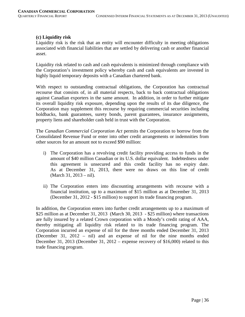# **(c) Liquidity risk**

Liquidity risk is the risk that an entity will encounter difficulty in meeting obligations associated with financial liabilities that are settled by delivering cash or another financial asset.

Liquidity risk related to cash and cash equivalents is minimized through compliance with the Corporation's investment policy whereby cash and cash equivalents are invested in highly liquid temporary deposits with a Canadian chartered bank.

With respect to outstanding contractual obligations, the Corporation has contractual recourse that consists of, in all material respects, back to back contractual obligations against Canadian exporters in the same amount. In addition, in order to further mitigate its overall liquidity risk exposure, depending upon the results of its due diligence, the Corporation may supplement this recourse by requiring commercial securities including holdbacks, bank guarantees, surety bonds, parent guarantees, insurance assignments, property liens and shareholder cash held in trust with the Corporation.

The *Canadian Commercial Corporation Act* permits the Corporation to borrow from the Consolidated Revenue Fund or enter into other credit arrangements or indemnities from other sources for an amount not to exceed \$90 million:

- i) The Corporation has a revolving credit facility providing access to funds in the amount of \$40 million Canadian or its U.S. dollar equivalent. Indebtedness under this agreement is unsecured and this credit facility has no expiry date. As at December 31, 2013, there were no draws on this line of credit (March 31, 2013 – nil).
- ii) The Corporation enters into discounting arrangements with recourse with a financial institution, up to a maximum of \$15 million as at December 31, 2013 (December 31, 2012 - \$15 million) to support its trade financing program.

In addition, the Corporation enters into further credit arrangements up to a maximum of \$25 million as at December 31, 2013 (March 30, 2013 - \$25 million) where transactions are fully insured by a related Crown corporation with a Moody's credit rating of AAA, thereby mitigating all liquidity risk related to its trade financing program. The Corporation incurred an expense of nil for the three months ended December 31, 2013 (December 31, 2012 – nil) and an expense of nil for the nine months ended December 31, 2013 (December 31, 2012 – expense recovery of \$16,000) related to this trade financing program.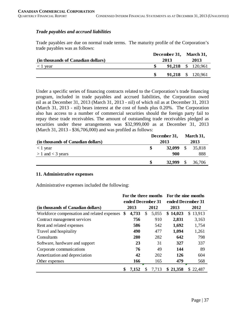# *Trade payables and accrued liabilities*

Trade payables are due on normal trade terms. The maturity profile of the Corporation's trade payables was as follows:

|                                    | December 31, March 31, |      |  |                          |
|------------------------------------|------------------------|------|--|--------------------------|
| (in thousands of Canadian dollars) |                        | 2013 |  |                          |
| $\langle 1 \rangle$ year           |                        |      |  | 91,218 \$ 120,961        |
|                                    |                        |      |  | <b>91,218</b> \$ 120,961 |

Under a specific series of financing contracts related to the Corporation's trade financing program, included in trade payables and accrued liabilities, the Corporation owed nil as at December 31, 2013 (March 31, 2013 - nil) of which nil as at December 31, 2013 (March 31, 2013 - nil) bears interest at the cost of funds plus 0.20%. The Corporation also has access to a number of commercial securities should the foreign party fail to repay these trade receivables. The amount of outstanding trade receivables pledged as securities under these arrangements was \$32,999,000 as at December 31, 2013 (March 31, 2013 - \$36,706,000) and was profiled as follows:

|                                    | December 31, | March 31,<br>2013 |  |        |  |
|------------------------------------|--------------|-------------------|--|--------|--|
| (in thousands of Canadian dollars) |              |                   |  |        |  |
| $<$ 1 year                         |              | $32,099$ \$       |  | 35,818 |  |
| $> 1$ and $<$ 3 years              |              | 900               |  | 888    |  |
|                                    | S            | 32,999            |  | 36,706 |  |

#### **11. Administrative expenses**

Administrative expenses included the following:

|                                             |    |              | For the three months | For the nine months |          |     |     |  |
|---------------------------------------------|----|--------------|----------------------|---------------------|----------|-----|-----|--|
|                                             |    |              | ended December 31    | ended December 31   |          |     |     |  |
| (in thousands of Canadian dollars)          |    | 2013<br>2012 |                      | 2013                | 2012     |     |     |  |
| Workforce compensation and related expenses | \$ | 4,733        | \$<br>5,055          | \$14,023            | \$13,913 |     |     |  |
| Contract management services                |    | 756          | 910                  | 2,831               | 3,163    |     |     |  |
| Rent and related expenses                   |    | 586          | 542                  | 1,692               | 1,754    |     |     |  |
| Travel and hospitality                      |    | 490          | 477                  | 1,094               | 1,261    |     |     |  |
| Consultants                                 |    | 280<br>282   |                      |                     |          | 642 | 798 |  |
| Software, hardware and support              |    | 23           | 31                   | 327                 | 337      |     |     |  |
| Corporate communications                    |    | 76           | 49                   | 144                 | 89       |     |     |  |
| Amortization and depreciation               |    | 42           | 202                  | <b>126</b>          | 604      |     |     |  |
| Other expenses                              |    | 166<br>165   |                      | 479                 | 568      |     |     |  |
|                                             | \$ | 7,152        | 7,713<br>S           | \$21,358            | \$22,487 |     |     |  |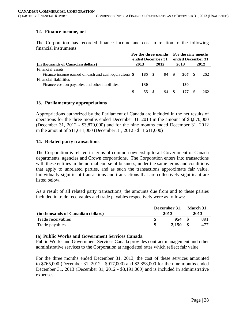# **12. Finance income, net**

The Corporation has recorded finance income and cost in relation to the following financial instruments:

|                                                         | For the three months For the nine months<br>ended December 31 |            |  |                   |    |       |    |      |
|---------------------------------------------------------|---------------------------------------------------------------|------------|--|-------------------|----|-------|----|------|
|                                                         |                                                               |            |  | ended December 31 |    |       |    |      |
| (in thousands of Canadian dollars)                      |                                                               | 2013       |  | 2012              |    | 2013  |    | 2012 |
| Financial assets                                        |                                                               |            |  |                   |    |       |    |      |
| - Finance income earned on cash and cash equivalents \$ |                                                               | 185 S      |  | 94 \$             |    | 307 · | -8 | 262  |
| Financial liabilities                                   |                                                               |            |  |                   |    |       |    |      |
| - Finance cost on payables and other liabilities        |                                                               | <b>130</b> |  |                   |    | 130   |    |      |
|                                                         | \$                                                            | 55         |  | 94                | -8 | 177   |    | 262  |

#### **13. Parliamentary appropriations**

Appropriations authorized by the Parliament of Canada are included in the net results of operations for the three months ended December 31, 2013 in the amount of \$3,870,000 (December 31, 2012 - \$3,870,000) and for the nine months ended December 31, 2012 in the amount of \$11,611,000 (December 31, 2012 - \$11,611,000)

# **14. Related party transactions**

The Corporation is related in terms of common ownership to all Government of Canada departments, agencies and Crown corporations. The Corporation enters into transactions with these entities in the normal course of business, under the same terms and conditions that apply to unrelated parties, and as such the transactions approximate fair value. Individually significant transactions and transactions that are collectively significant are listed below.

As a result of all related party transactions, the amounts due from and to these parties included in trade receivables and trade payables respectively were as follows:

|                                    | December 31, |                       |  | <b>March 31.</b> |  |  |  |
|------------------------------------|--------------|-----------------------|--|------------------|--|--|--|
| (in thousands of Canadian dollars) | 2013         |                       |  | 2013             |  |  |  |
| Trade receivables                  |              | $954 \quad \text{\$}$ |  | 891              |  |  |  |
| Trade payables                     |              | 2.150 S               |  | 477              |  |  |  |

# **(a) Public Works and Government Services Canada**

Public Works and Government Services Canada provides contract management and other administrative services to the Corporation at negotiated rates which reflect fair value.

For the three months ended December 31, 2013, the cost of these services amounted to \$765,000 (December 31, 2012 - \$917,000) and \$2,858,000 for the nine months ended December 31, 2013 (December 31, 2012 - \$3,191,000) and is included in administrative expenses.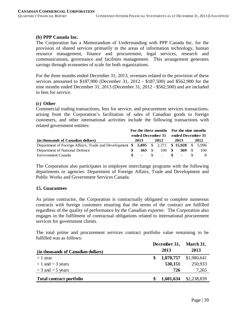## **(b) PPP Canada Inc.**

The Corporation has a Memorandum of Understanding with PPP Canada Inc. for the provision of shared services primarily in the areas of information technology, human resource management, finance and procurement, legal services, research and communications, governance and facilities management. This arrangement generates savings through economies of scale for both organizations.

For the three months ended December 31, 2013, revenues related to the provision of these services amounted to \$187,900 (December 31, 2012 - \$187,500) and \$562,900 for the nine months ended December 31, 2013 (December 31, 2012 - \$562,500) and are included in fees for service.

#### **(c) Other**

Commercial trading transactions, fees for service, and procurement services transactions, arising from the Corporation's facilitation of sales of Canadian goods to foreign customers, and other international activities include the following transactions with related government entities:

|                                                                                       | For the three months For the nine months |             |  |                   |  |       |  |     |
|---------------------------------------------------------------------------------------|------------------------------------------|-------------|--|-------------------|--|-------|--|-----|
|                                                                                       | ended December 31                        |             |  | ended December 31 |  |       |  |     |
| (in thousands of Canadian dollars)                                                    | 2012<br>2013                             |             |  | 2013              |  | 2012  |  |     |
| Department of Foreign Affairs, Trade and Development \$5,895 \$2,371 \$15,928 \$5,996 |                                          |             |  |                   |  |       |  |     |
| Department of National Defence                                                        |                                          | $363 \quad$ |  | 100S              |  | 369 S |  | 100 |
| Environment Canada                                                                    |                                          |             |  | $-$ \$ $-$ \$     |  | $-$ S |  |     |

The Corporation also participates in employee interchange programs with the following departments or agencies: Department of Foreign Affairs, Trade and Development and Public Works and Government Services Canada.

#### **15. Guarantees**

As prime contractor, the Corporation is contractually obligated to complete numerous contracts with foreign customers ensuring that the terms of the contract are fulfilled regardless of the quality of performance by the Canadian exporter. The Corporation also engages in the fulfilment of contractual obligations related to international procurement services for government clients.

The total prime and procurement services contract portfolio value remaining to be fulfilled was as follows:

|                                    |  | December 31,<br>2013 |             |  |  |  |
|------------------------------------|--|----------------------|-------------|--|--|--|
| (in thousands of Canadian dollars) |  |                      |             |  |  |  |
| $\langle 1 \rangle$ year           |  | 1,070,757            | \$1,980,641 |  |  |  |
| $> 1$ and $<$ 3 years              |  | 530,151              | 250,933     |  |  |  |
| $>$ 3 and $<$ 5 years              |  | 726                  | 7,265       |  |  |  |
| <b>Total contract portfolio</b>    |  | 1,601,634            | \$2,238,839 |  |  |  |